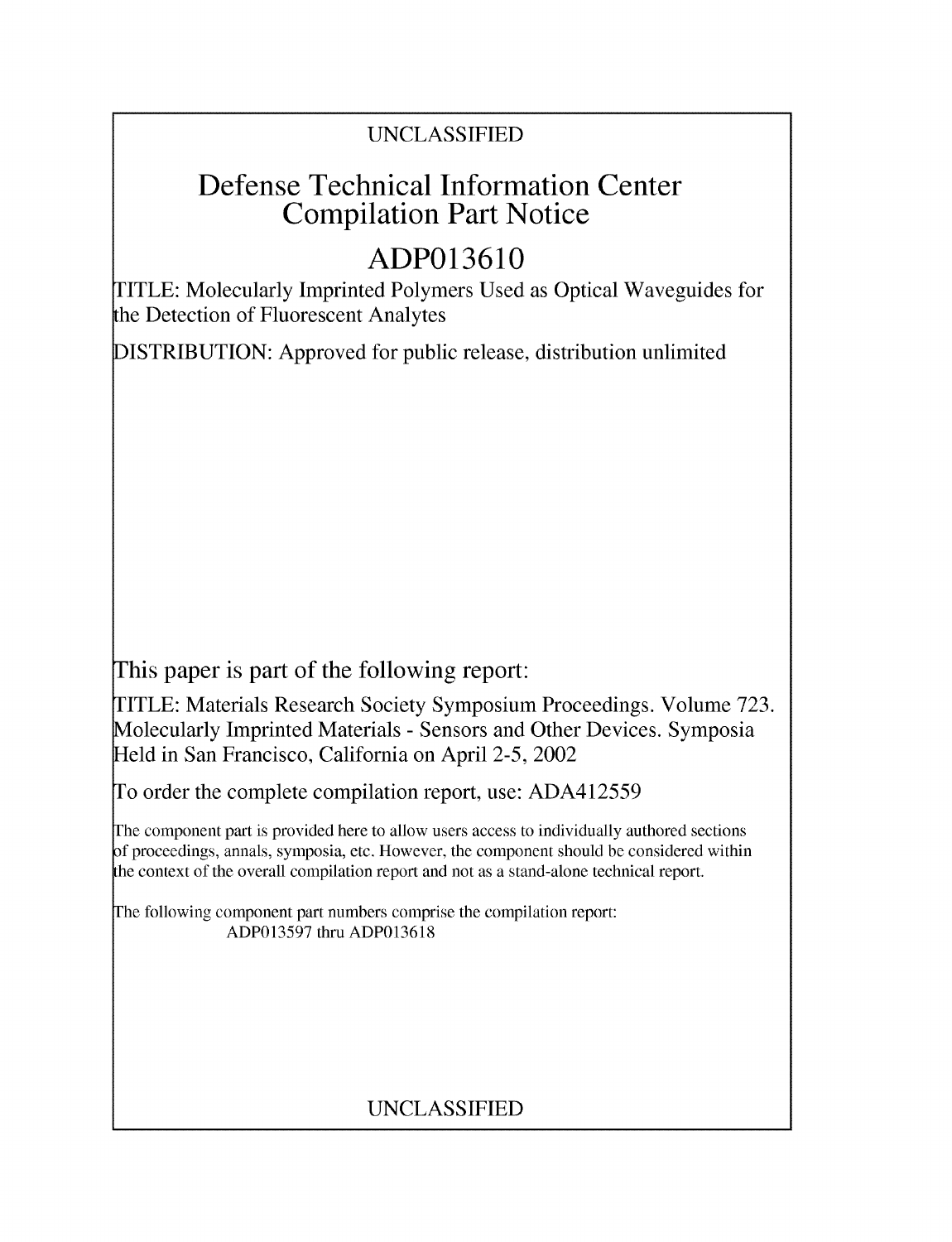### UNCLASSIFIED

## Defense Technical Information Center Compilation Part Notice

# **ADP013610**

TITLE: Molecularly Imprinted Polymers Used as Optical Waveguides for the Detection of Fluorescent Analytes

DISTRIBUTION: Approved for public release, distribution unlimited

This paper is part of the following report:

TITLE: Materials Research Society Symposium Proceedings. Volume 723. Molecularly Imprinted Materials - Sensors and Other Devices. Symposia Held in San Francisco, California on April 2-5, 2002

To order the complete compilation report, use: ADA412559

The component part is provided here to allow users access to individually authored sections **)f** proceedings, annals, symposia, etc. However, the component should be considered within [he context of the overall compilation report and not as a stand-alone technical report.

The following component part numbers comprise the compilation report: ADP013597 thru ADP013618

## UNCLASSIFIED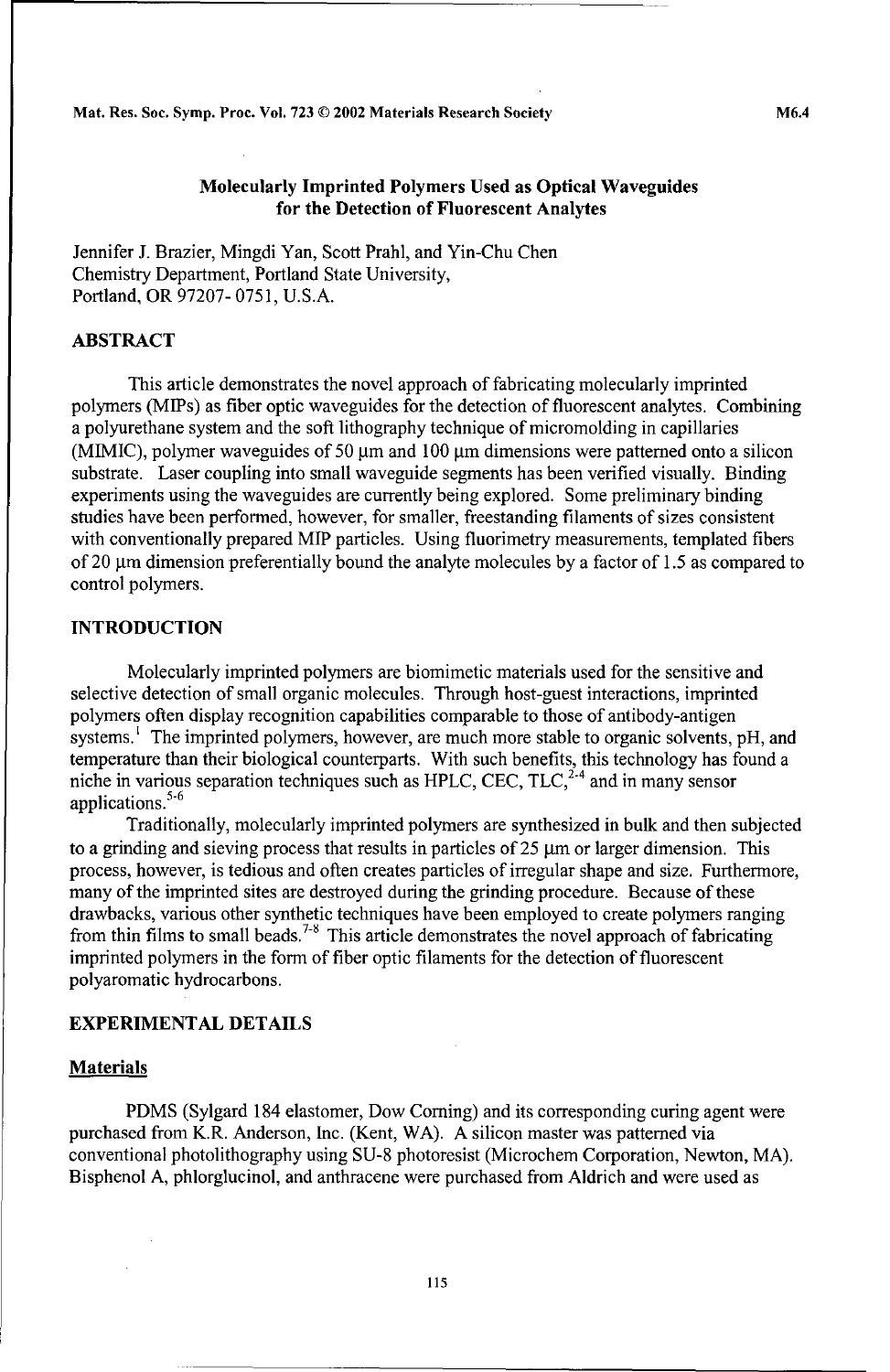Mat. Res. Soc. Symp. Proc. Vol. **723 ©** 2002 Materials Research Society M6.4

#### Molecularly Imprinted Polymers Used as Optical Waveguides for the Detection of Fluorescent Analytes

Jennifer J. Brazier, Mingdi Yan, Scott Prahl, and Yin-Chu Chen Chemistry Department, Portland State University, Portland, OR 97207- 0751, U.S.A.

#### ABSTRACT

This article demonstrates the novel approach of fabricating molecularly imprinted polymers (MIPs) as fiber optic waveguides for the detection of fluorescent analytes. Combining a polyurethane system and the soft lithography technique of micromolding in capillaries (MIMIC), polymer waveguides of 50  $\mu$ m and 100  $\mu$ m dimensions were patterned onto a silicon substrate. Laser coupling into small waveguide segments has been verified visually. Binding experiments using the waveguides are currently being explored. Some preliminary binding studies have been performed, however, for smaller, freestanding filaments of sizes consistent with conventionally prepared **MIP** particles. Using fluorimetry measurements, templated fibers of 20  $\mu$ m dimension preferentially bound the analyte molecules by a factor of 1.5 as compared to control polymers.

#### **INTRODUCTION**

Molecularly imprinted polymers are biomimetic materials used for the sensitive and selective detection of small organic molecules. Through host-guest interactions, imprinted polymers often display recognition capabilities comparable to those of antibody-antigen systems.<sup> $\text{I}$ </sup> The imprinted polymers, however, are much more stable to organic solvents, pH, and temperature than their biological counterparts. With such benefits, this technology has found a niche in various separation techniques such as HPLC, CEC, TLC, $^{2.4}$  and in many sensor applications.<sup>5-6</sup>

Traditionally, molecularly imprinted polymers are synthesized in bulk and then subjected to a grinding and sieving process that results in particles of  $25 \mu m$  or larger dimension. This process, however, is tedious and often creates particles of irregular shape and size. Furthermore, many of the imprinted sites are destroyed during the grinding procedure. Because of these drawbacks, various other synthetic techniques have been employed to create polymers ranging from thin films to small beads.<sup>7-8</sup> This article demonstrates the novel approach of fabricating imprinted polymers in the form of fiber optic filaments for the detection of fluorescent polyaromatic hydrocarbons.

#### EXPERIMENTAL **DETAILS**

#### **Materials**

PDMS (Sylgard 184 elastomer, Dow Coming) and its corresponding curing agent were purchased from K.R. Anderson, Inc. (Kent, WA). A silicon master was patterned via conventional photolithography using SU-8 photoresist (Microchem Corporation, Newton, MA). Bisphenol A, phlorglucinol, and anthracene were purchased from Aldrich and were used as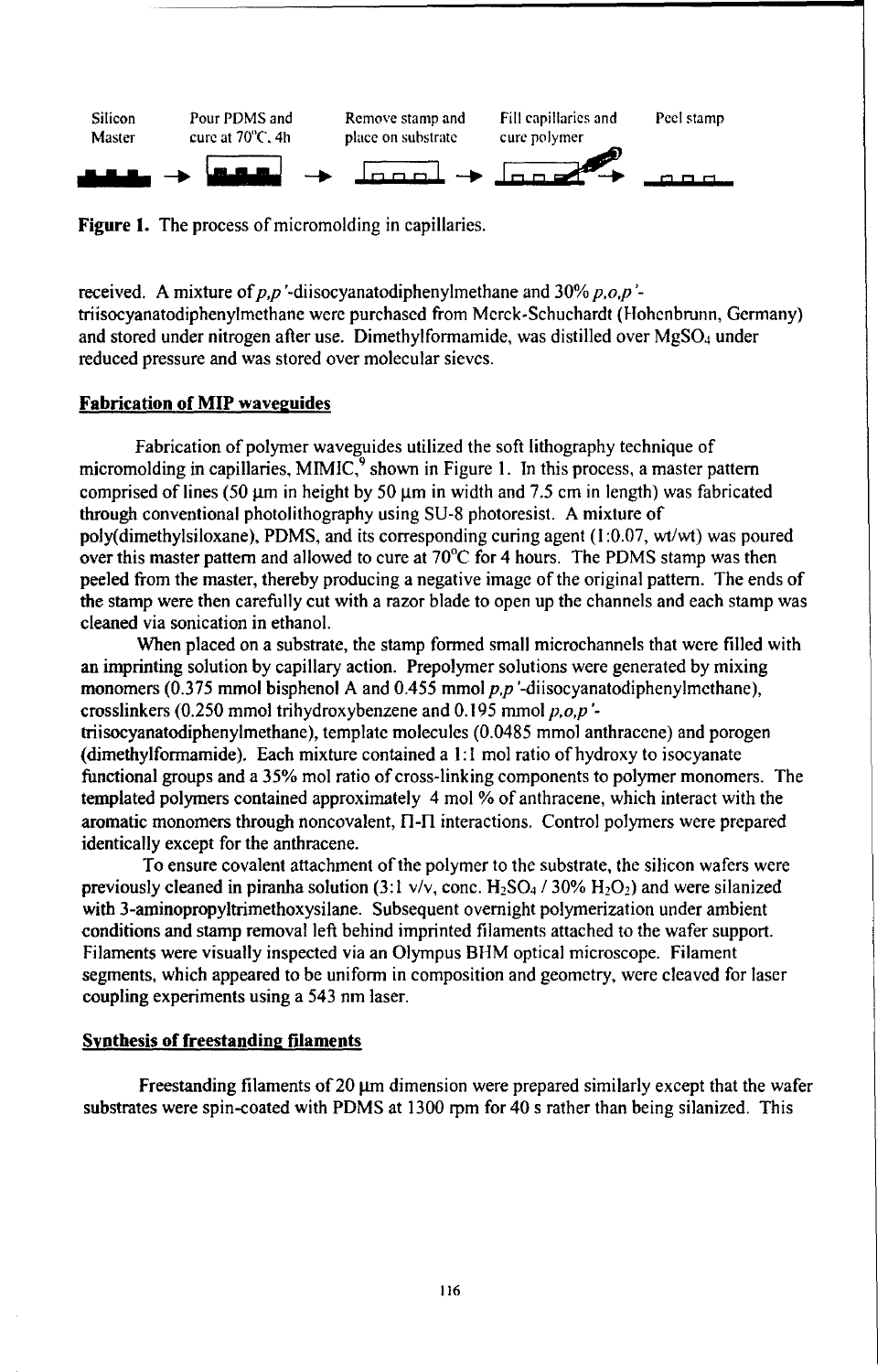

Figure 1. The process of micromolding in capillaries.

received. A mixture of  $p, p'$ -diisocyanatodiphenylmethane and  $30\% p, o, p'$ triisocyanatodiphenylmethane were purchased from Merck-Schuchardt (Hlohenbrunn, Germany) and stored under nitrogen after use. Dimethylformamide, was distilled over  $MgSO<sub>4</sub>$  under reduced pressure and was stored over molecular sieves.

#### Fabrication of MIP waveguides

Fabrication of polymer waveguides utilized the soft lithography technique of micromolding in capillaries, MIMIC, $9$  shown in Figure 1. In this process, a master pattern comprised of lines (50  $\mu$ m in height by 50  $\mu$ m in width and 7.5 cm in length) was fabricated through conventional photolithography using SU-8 photoresist. A mixture of poly(dimethylsiloxane), PDMS, and its corresponding curing agent (1:0.07, wt/wt) was poured over this master pattern and allowed to cure at  $70^{\circ}$ C for 4 hours. The PDMS stamp was then peeled from the master, thereby producing a negative image of the original pattern. The ends of the stamp were then carefully cut with a razor blade to open up the channels and each stamp was cleaned via sonication in ethanol.

When placed on a substrate, the stamp formed small microchannels that were filled with an imprinting solution by capillary action. Prepolymer solutions were generated by mixing monomers (0.375 mmol bisphenol A and 0.455 mmol *pp* '-diisocyanatodiphenylmcthane), crosslinkers (0.250 mmol trihydroxybenzene and 0.195 mmol *p,o,p*triisocyanatodiphenylmethane), template molecules (0.0485 mmol anthracene) and porogen (dimethylformamide). Each mixture contained a **1:1** mol ratio of hydroxy to isocyanate functional groups and a 35% mol ratio of cross-linking components to polymer monomers. The templated polymers contained approximately 4 mol % of anthracene, which interact with the

aromatic monomers through noncovalent, I-I interactions. Control polymers were prepared identically except for the anthracene. To ensure covalent attachment of the polymer to the substrate, the silicon wafers were previously cleaned in piranha solution (3:1  $v/v$ , conc. H<sub>2</sub>SO<sub>4</sub> / 30% H<sub>2</sub>O<sub>2</sub>) and were silanized with 3-aminopropyltrimethoxysilane. Subsequent overnight polymerization under ambient conditions and stamp removal left behind imprinted filaments attached to the wafer support.

Filaments were visually inspected via an Olympus BIM optical microscope. Filament segments, which appeared to be uniform in composition and geometry, were cleaved for laser coupling experiments using a 543 nm laser.

#### Synthesis of freestanding filaments

Freestanding filaments of  $20 \mu m$  dimension were prepared similarly except that the wafer substrates were spin-coated with PDMS at 1300 rpm for 40 s rather than being silanized. This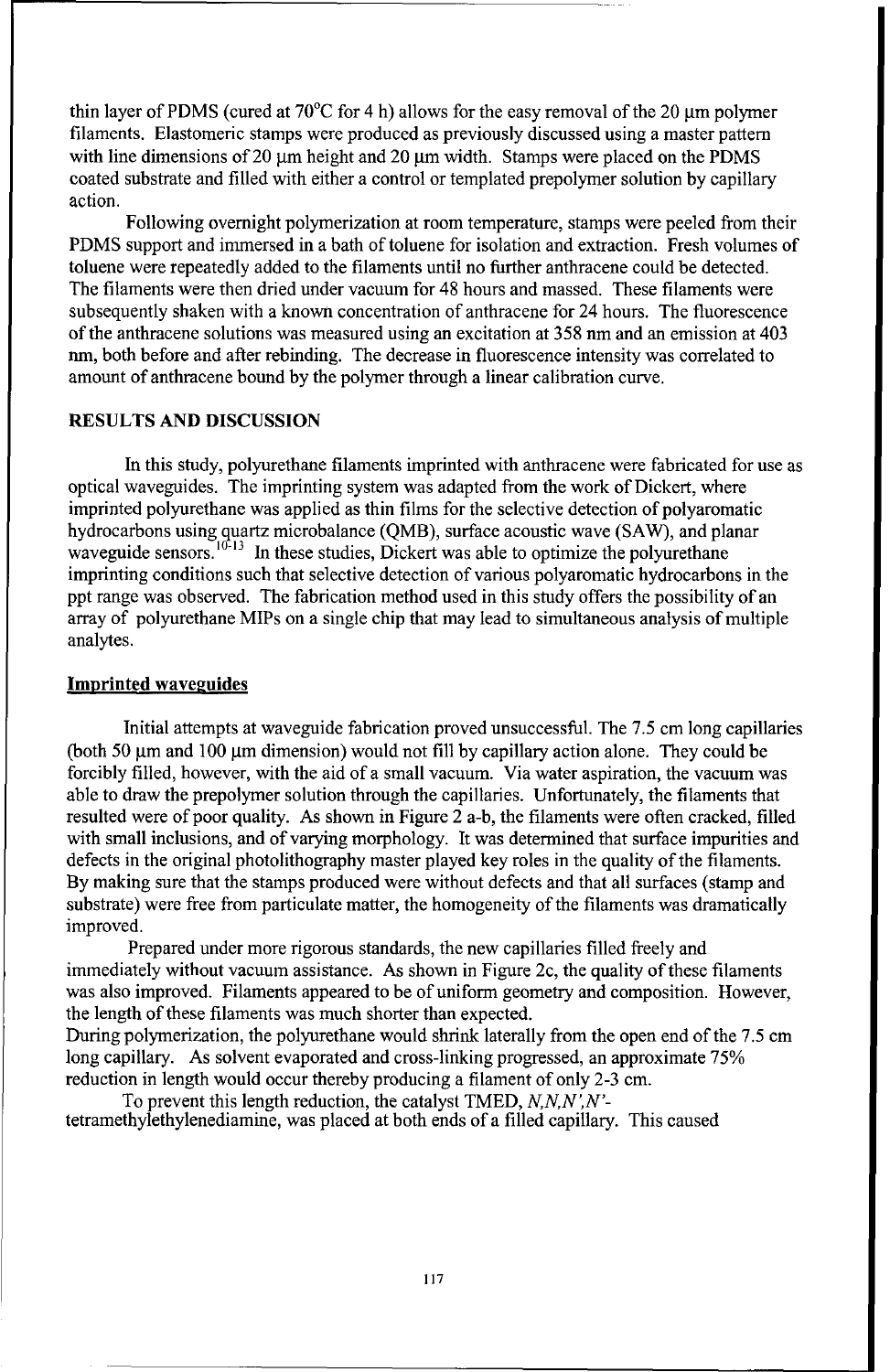thin layer of PDMS (cured at  $70^{\circ}$ C for 4 h) allows for the easy removal of the 20 um polymer filaments. Elastomeric stamps were produced as previously discussed using a master pattern with line dimensions of 20  $\mu$ m height and 20  $\mu$ m width. Stamps were placed on the PDMS coated substrate and filled with either a control or templated prepolymer solution by capillary action.

Following overnight polymerization at room temperature, stamps were peeled from their PDMS support and immersed in a bath of toluene for isolation and extraction. Fresh volumes of toluene were repeatedly added to the filaments until no further anthracene could be detected. The filaments were then dried under vacuum for 48 hours and massed. These filaments were subsequently shaken with a known concentration of anthracene for 24 hours. The fluorescence of the anthracene solutions was measured using an excitation at 358 nm and an emission at 403 nm, both before and after rebinding. The decrease in fluorescence intensity was correlated to amount of anthracene bound by the polymer through a linear calibration curve.

#### RESULTS AND DISCUSSION

In this study, polyurethane filaments imprinted with anthracene were fabricated for use as optical waveguides. The imprinting system was adapted from the work of Dickert, where imprinted polyurethane was applied as thin films for the selective detection of polyaromatic hydrocarbons using quartz microbalance (QMB), surface acoustic wave (SAW), and planar waveguide sensors.<sup> $10-13$ </sup> In these studies, Dickert was able to optimize the polyurethane imprinting conditions such that selective detection of various polyaromatic hydrocarbons in the ppt range was observed. The fabrication method used in this study offers the possibility of an array of polyurethane MIPs on a single chip that may lead to simultaneous analysis of multiple analytes.

#### **Imprinted waveguides**

Initial attempts at waveguide fabrication proved unsuccessful. The 7.5 cm long capillaries (both 50 µm and 100 µm dimension) would not fill by capillary action alone. They could be forcibly filled, however, with the aid of a small vacuum. Via water aspiration, the vacuum was able to draw the prepolymer solution through the capillaries. Unfortunately, the filaments that resulted were of poor quality. As shown in Figure 2 a-b, the filaments were often cracked, filled with small inclusions, and of varying morphology. It was determined that surface impurities and defects in the original photolithography master played key roles in the quality of the filaments. By making sure that the stamps produced were without defects and that all surfaces (stamp and substrate) were free from particulate matter, the homogeneity of the filaments was dramatically improved.

Prepared under more rigorous standards, the new capillaries filled freely and immediately without vacuum assistance. As shown in Figure 2c, the quality of these filaments was also improved. Filaments appeared to be of uniform geometry and composition. However, the length of these filaments was much shorter than expected.

During polymerization, the polyurethane would shrink laterally from the open end of the 7.5 cm long capillary. As solvent evaporated and cross-linking progressed, an approximate 75% reduction in length would occur thereby producing a filament of only 2-3 cm.

To prevent this length reduction, the catalyst TMED, *N,NN,N'* tetramethylethylenediamine, was placed at both ends of a filled capillary. This caused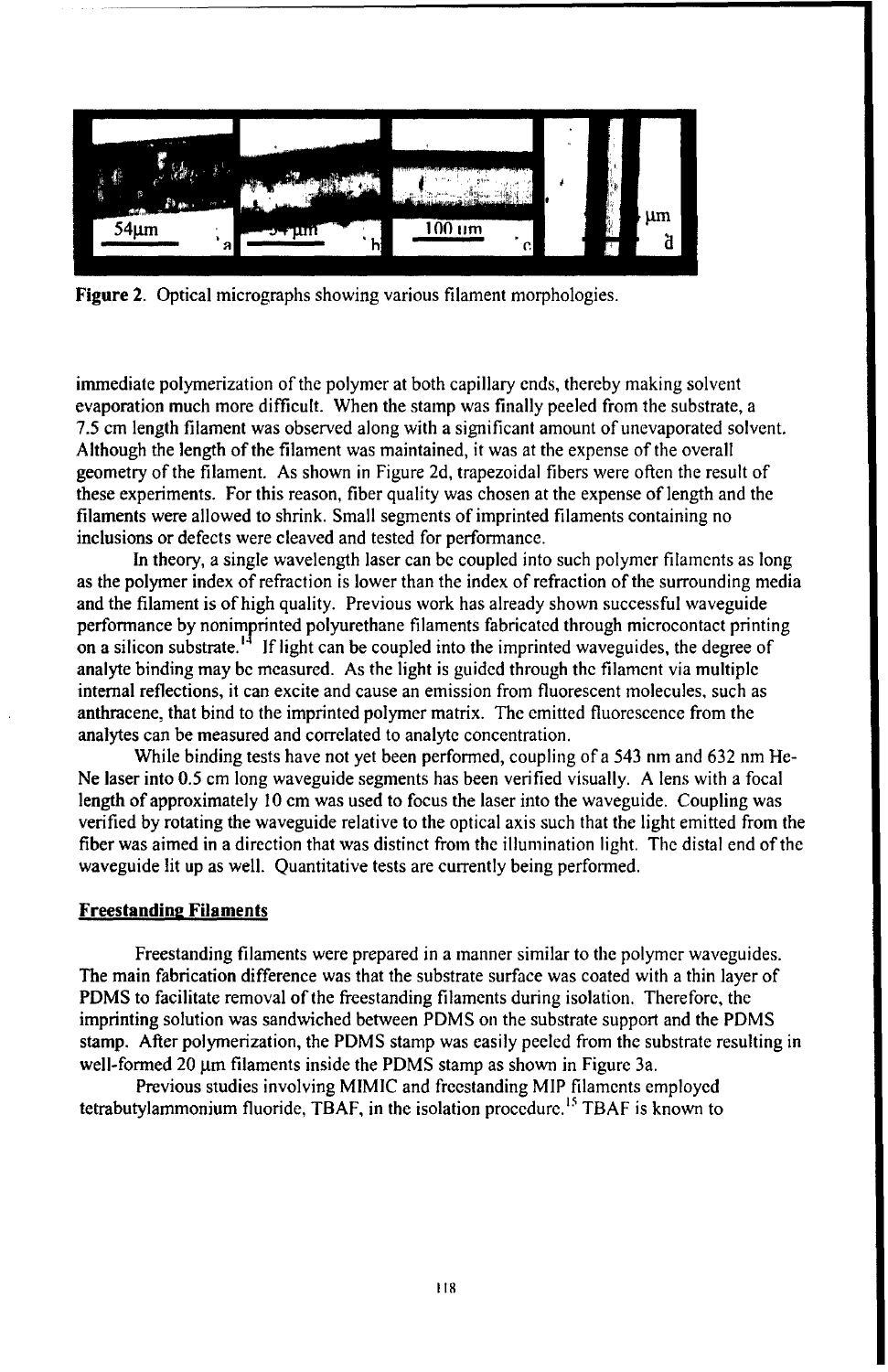

Figure 2. Optical micrographs showing various filament morphologies.

immediate polymerization of the polymer at both capillary ends, thereby making solvent evaporation much more difficult. When the stamp was finally peeled from the substrate, a 7.5 cm length filament was observed along with a significant amount of unevaporated solvent. Although the length of the filament was maintained, it was at the expense of the overall geometry of the filament. As shown in Figure 2d, trapezoidal fibers were often the result of these experiments. For this reason, fiber quality was chosen at the expense of length and the filaments were allowed to shrink. Small segments of imprinted filaments containing no inclusions or defects were cleaved and tested for performance.

In theory, a single wavelength laser can be coupled into such polymer filaments as long as the polymer index of refraction is lower than the index of refraction of the surrounding media and the filament is of high quality. Previous work has already shown successful waveguide performance by nonimprinted polyurethane filaments fabricated through microcontact printing on a silicon substrate.<sup>14</sup> If light can be coupled into the imprinted waveguides, the degree of analyte binding may be measured. As the light is guided through the filament via multiple internal reflections, it can excite and cause an emission from fluorescent molecules, such as anthracene, that bind to the imprinted polymer matrix. The emitted fluorescence from the analytes can be measured and correlated to analyte concentration.

While binding tests have not yet been performed, coupling of a 543 nm and 632 nm He-Ne laser into 0.5 cm long waveguide segments has been verified visually. A lens with a focal length of approximately 10 cm was used to focus the laser into the waveguide. Coupling was verified by rotating the waveguide relative to the optical axis such that the light emitted from the fiber was aimed in a direction that was distinct from the illumination light. The distal end of the waveguide lit up as well. Quantitative tests are currently being performed.

#### **Freestanding Filaments**

Freestanding filaments were prepared in a manner similar to the polymer waveguides. The main fabrication difference was that the substrate surface was coated with a thin layer of PDMS to facilitate removal of the freestanding filaments during isolation. Therefore, the imprinting solution was sandwiched between PDMS on the substrate support and the PDMS stamp. After polymerization, the PDMS stamp was easily peeled from the substrate resulting in well-formed 20 um filaments inside the PDMS stamp as shown in Figure 3a.

Previous studies involving MIMIC and freestanding MIP filaments employed tetrabutylammonium fluoride, TBAF, in the isolation procedure.<sup>15</sup> TBAF is known to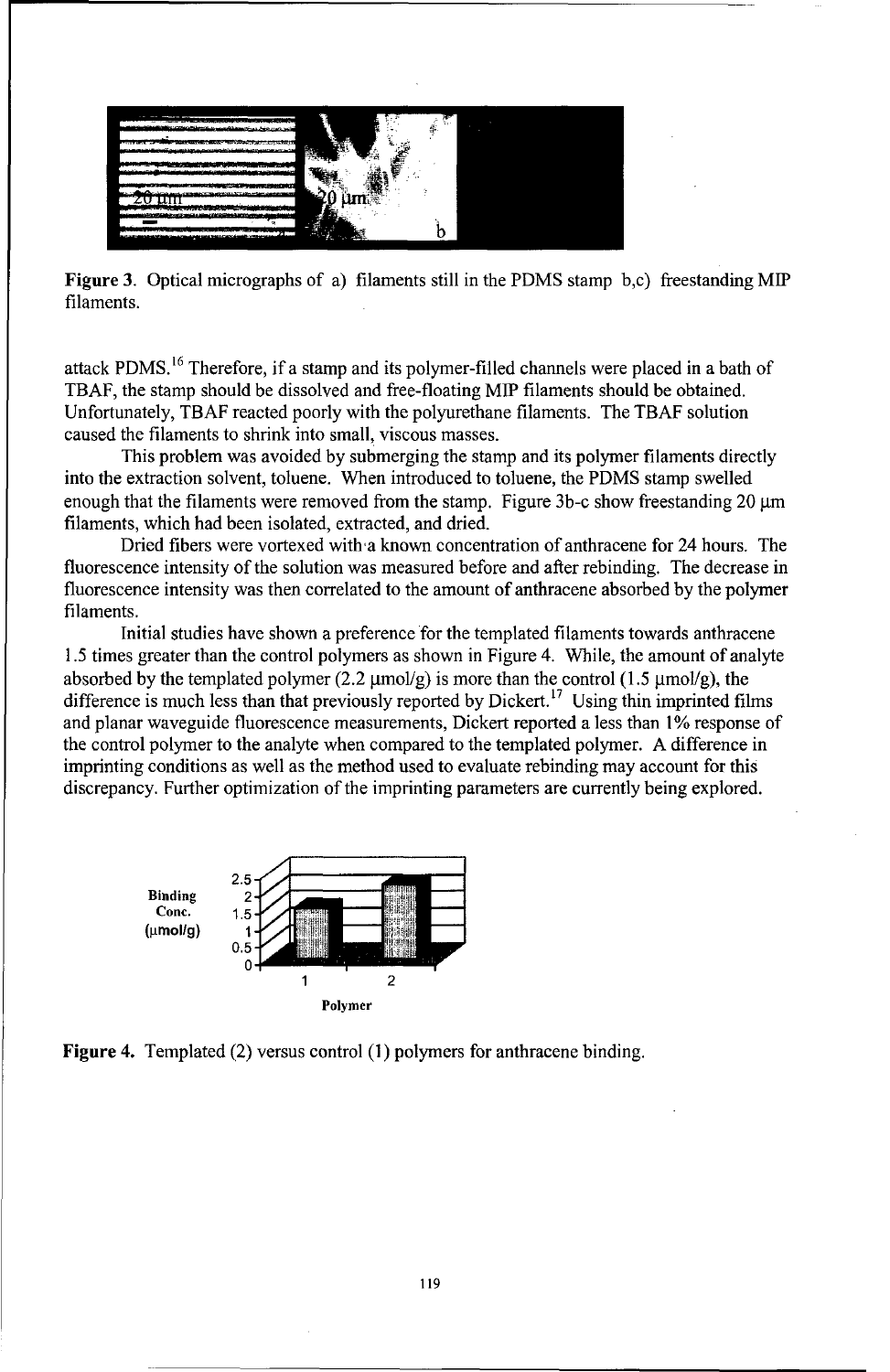

Figure 3. Optical micrographs of a) filaments still in the PDMS stamp b,c) freestanding MIP filaments.

attack PDMS.<sup>16</sup> Therefore, if a stamp and its polymer-filled channels were placed in a bath of TBAF, the stamp should be dissolved and free-floating MIP filaments should be obtained. Unfortunately, TBAF reacted poorly with the polyurethane filaments. The TBAF solution caused the filaments to shrink into small, viscous masses.

This problem was avoided by submerging the stamp and its polymer filaments directly into the extraction solvent, toluene. When introduced to toluene, the PDMS stamp swelled enough that the filaments were removed from the stamp. Figure 3b-c show freestanding 20 **itm** filaments, which had been isolated, extracted, and dried.

Dried fibers were vortexed with a known concentration of anthracene for 24 hours. The fluorescence intensity of the solution was measured before and after rebinding. The decrease in fluorescence intensity was then correlated to the amount of anthracene absorbed by the polymer filaments.

Initial studies have shown a preference for the templated filaments towards anthracene 1.5 times greater than the control polymers as shown in Figure 4. While, the amount of analyte absorbed by the templated polymer (2.2  $\mu$ mol/g) is more than the control (1.5  $\mu$ mol/g), the difference is much less than that previously reported by Dickert.<sup>17</sup> Using thin imprinted films and planar waveguide fluorescence measurements, Dickert reported a less than 1% response of the control polymer to the analyte when compared to the templated polymer. A difference in imprinting conditions as well as the method used to evaluate rebinding may account for this discrepancy. Further optimization of the imprinting parameters are currently being explored.